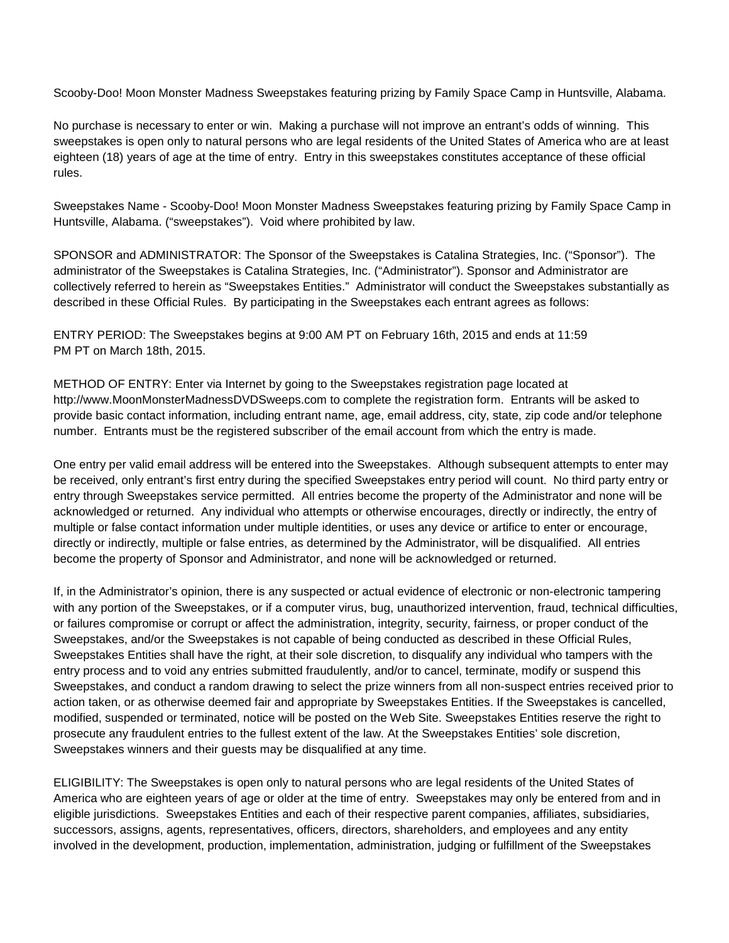Scooby-Doo! Moon Monster Madness Sweepstakes featuring prizing by Family Space Camp in Huntsville, Alabama.

No purchase is necessary to enter or win. Making a purchase will not improve an entrant's odds of winning. This sweepstakes is open only to natural persons who are legal residents of the United States of America who are at least eighteen (18) years of age at the time of entry. Entry in this sweepstakes constitutes acceptance of these official rules.

Sweepstakes Name - Scooby-Doo! Moon Monster Madness Sweepstakes featuring prizing by Family Space Camp in Huntsville, Alabama. ("sweepstakes"). Void where prohibited by law.

SPONSOR and ADMINISTRATOR: The Sponsor of the Sweepstakes is Catalina Strategies, Inc. ("Sponsor"). The administrator of the Sweepstakes is Catalina Strategies, Inc. ("Administrator"). Sponsor and Administrator are collectively referred to herein as "Sweepstakes Entities." Administrator will conduct the Sweepstakes substantially as described in these Official Rules. By participating in the Sweepstakes each entrant agrees as follows:

ENTRY PERIOD: The Sweepstakes begins at 9:00 AM PT on February 16th, 2015 and ends at 11:59 PM PT on March 18th, 2015.

METHOD OF ENTRY: Enter via Internet by going to the Sweepstakes registration page located at http://www.MoonMonsterMadnessDVDSweeps.com to complete the registration form. Entrants will be asked to provide basic contact information, including entrant name, age, email address, city, state, zip code and/or telephone number. Entrants must be the registered subscriber of the email account from which the entry is made.

One entry per valid email address will be entered into the Sweepstakes. Although subsequent attempts to enter may be received, only entrant's first entry during the specified Sweepstakes entry period will count. No third party entry or entry through Sweepstakes service permitted. All entries become the property of the Administrator and none will be acknowledged or returned. Any individual who attempts or otherwise encourages, directly or indirectly, the entry of multiple or false contact information under multiple identities, or uses any device or artifice to enter or encourage, directly or indirectly, multiple or false entries, as determined by the Administrator, will be disqualified. All entries become the property of Sponsor and Administrator, and none will be acknowledged or returned.

If, in the Administrator's opinion, there is any suspected or actual evidence of electronic or non-electronic tampering with any portion of the Sweepstakes, or if a computer virus, bug, unauthorized intervention, fraud, technical difficulties, or failures compromise or corrupt or affect the administration, integrity, security, fairness, or proper conduct of the Sweepstakes, and/or the Sweepstakes is not capable of being conducted as described in these Official Rules, Sweepstakes Entities shall have the right, at their sole discretion, to disqualify any individual who tampers with the entry process and to void any entries submitted fraudulently, and/or to cancel, terminate, modify or suspend this Sweepstakes, and conduct a random drawing to select the prize winners from all non-suspect entries received prior to action taken, or as otherwise deemed fair and appropriate by Sweepstakes Entities. If the Sweepstakes is cancelled, modified, suspended or terminated, notice will be posted on the Web Site. Sweepstakes Entities reserve the right to prosecute any fraudulent entries to the fullest extent of the law. At the Sweepstakes Entities' sole discretion, Sweepstakes winners and their guests may be disqualified at any time.

ELIGIBILITY: The Sweepstakes is open only to natural persons who are legal residents of the United States of America who are eighteen years of age or older at the time of entry. Sweepstakes may only be entered from and in eligible jurisdictions. Sweepstakes Entities and each of their respective parent companies, affiliates, subsidiaries, successors, assigns, agents, representatives, officers, directors, shareholders, and employees and any entity involved in the development, production, implementation, administration, judging or fulfillment of the Sweepstakes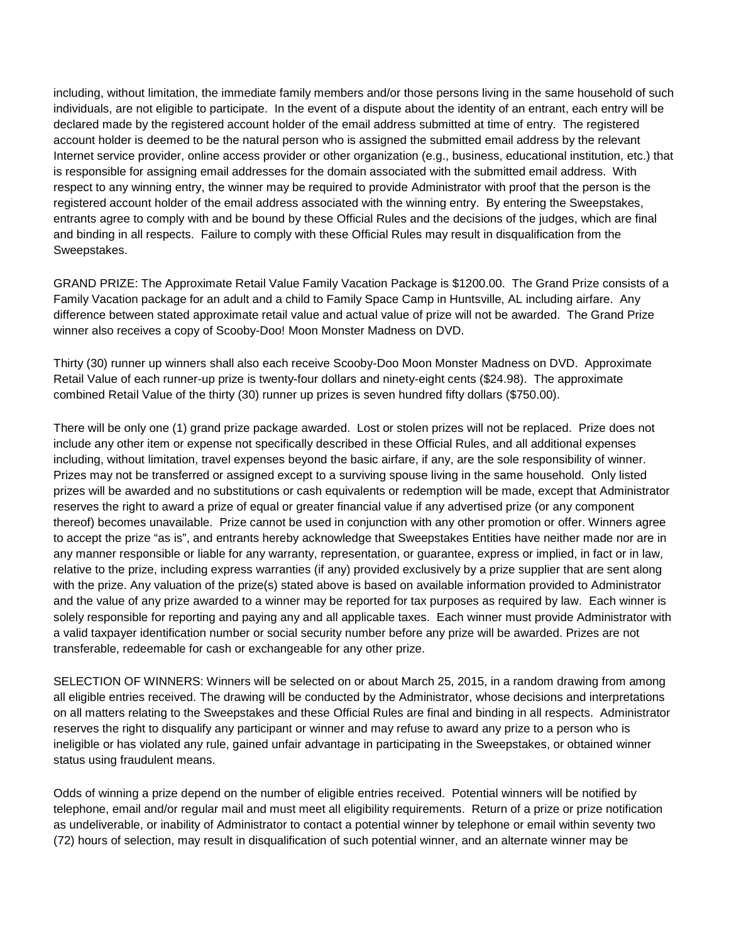including, without limitation, the immediate family members and/or those persons living in the same household of such individuals, are not eligible to participate. In the event of a dispute about the identity of an entrant, each entry will be declared made by the registered account holder of the email address submitted at time of entry. The registered account holder is deemed to be the natural person who is assigned the submitted email address by the relevant Internet service provider, online access provider or other organization (e.g., business, educational institution, etc.) that is responsible for assigning email addresses for the domain associated with the submitted email address. With respect to any winning entry, the winner may be required to provide Administrator with proof that the person is the registered account holder of the email address associated with the winning entry. By entering the Sweepstakes, entrants agree to comply with and be bound by these Official Rules and the decisions of the judges, which are final and binding in all respects. Failure to comply with these Official Rules may result in disqualification from the Sweepstakes.

GRAND PRIZE: The Approximate Retail Value Family Vacation Package is \$1200.00. The Grand Prize consists of a Family Vacation package for an adult and a child to Family Space Camp in Huntsville, AL including airfare. Any difference between stated approximate retail value and actual value of prize will not be awarded. The Grand Prize winner also receives a copy of Scooby-Doo! Moon Monster Madness on DVD.

Thirty (30) runner up winners shall also each receive Scooby-Doo Moon Monster Madness on DVD. Approximate Retail Value of each runner-up prize is twenty-four dollars and ninety-eight cents (\$24.98). The approximate combined Retail Value of the thirty (30) runner up prizes is seven hundred fifty dollars (\$750.00).

There will be only one (1) grand prize package awarded. Lost or stolen prizes will not be replaced. Prize does not include any other item or expense not specifically described in these Official Rules, and all additional expenses including, without limitation, travel expenses beyond the basic airfare, if any, are the sole responsibility of winner. Prizes may not be transferred or assigned except to a surviving spouse living in the same household. Only listed prizes will be awarded and no substitutions or cash equivalents or redemption will be made, except that Administrator reserves the right to award a prize of equal or greater financial value if any advertised prize (or any component thereof) becomes unavailable. Prize cannot be used in conjunction with any other promotion or offer. Winners agree to accept the prize "as is", and entrants hereby acknowledge that Sweepstakes Entities have neither made nor are in any manner responsible or liable for any warranty, representation, or guarantee, express or implied, in fact or in law, relative to the prize, including express warranties (if any) provided exclusively by a prize supplier that are sent along with the prize. Any valuation of the prize(s) stated above is based on available information provided to Administrator and the value of any prize awarded to a winner may be reported for tax purposes as required by law. Each winner is solely responsible for reporting and paying any and all applicable taxes. Each winner must provide Administrator with a valid taxpayer identification number or social security number before any prize will be awarded. Prizes are not transferable, redeemable for cash or exchangeable for any other prize.

SELECTION OF WINNERS: Winners will be selected on or about March 25, 2015, in a random drawing from among all eligible entries received. The drawing will be conducted by the Administrator, whose decisions and interpretations on all matters relating to the Sweepstakes and these Official Rules are final and binding in all respects. Administrator reserves the right to disqualify any participant or winner and may refuse to award any prize to a person who is ineligible or has violated any rule, gained unfair advantage in participating in the Sweepstakes, or obtained winner status using fraudulent means.

Odds of winning a prize depend on the number of eligible entries received. Potential winners will be notified by telephone, email and/or regular mail and must meet all eligibility requirements. Return of a prize or prize notification as undeliverable, or inability of Administrator to contact a potential winner by telephone or email within seventy two (72) hours of selection, may result in disqualification of such potential winner, and an alternate winner may be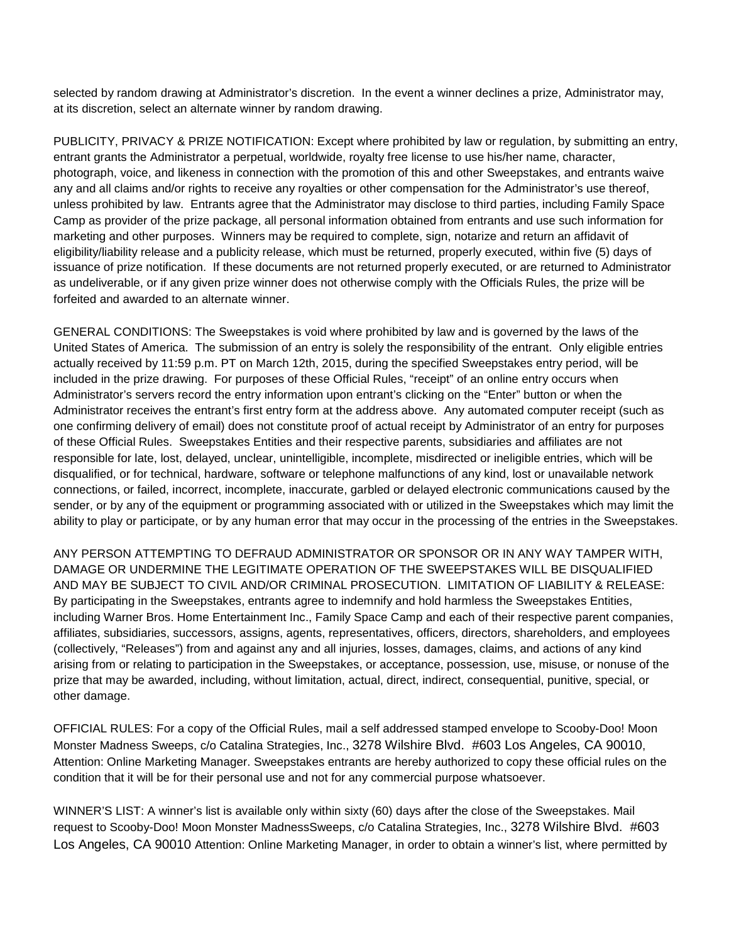selected by random drawing at Administrator's discretion. In the event a winner declines a prize, Administrator may, at its discretion, select an alternate winner by random drawing.

PUBLICITY, PRIVACY & PRIZE NOTIFICATION: Except where prohibited by law or regulation, by submitting an entry, entrant grants the Administrator a perpetual, worldwide, royalty free license to use his/her name, character, photograph, voice, and likeness in connection with the promotion of this and other Sweepstakes, and entrants waive any and all claims and/or rights to receive any royalties or other compensation for the Administrator's use thereof, unless prohibited by law. Entrants agree that the Administrator may disclose to third parties, including Family Space Camp as provider of the prize package, all personal information obtained from entrants and use such information for marketing and other purposes. Winners may be required to complete, sign, notarize and return an affidavit of eligibility/liability release and a publicity release, which must be returned, properly executed, within five (5) days of issuance of prize notification. If these documents are not returned properly executed, or are returned to Administrator as undeliverable, or if any given prize winner does not otherwise comply with the Officials Rules, the prize will be forfeited and awarded to an alternate winner.

GENERAL CONDITIONS: The Sweepstakes is void where prohibited by law and is governed by the laws of the United States of America. The submission of an entry is solely the responsibility of the entrant. Only eligible entries actually received by 11:59 p.m. PT on March 12th, 2015, during the specified Sweepstakes entry period, will be included in the prize drawing. For purposes of these Official Rules, "receipt" of an online entry occurs when Administrator's servers record the entry information upon entrant's clicking on the "Enter" button or when the Administrator receives the entrant's first entry form at the address above. Any automated computer receipt (such as one confirming delivery of email) does not constitute proof of actual receipt by Administrator of an entry for purposes of these Official Rules. Sweepstakes Entities and their respective parents, subsidiaries and affiliates are not responsible for late, lost, delayed, unclear, unintelligible, incomplete, misdirected or ineligible entries, which will be disqualified, or for technical, hardware, software or telephone malfunctions of any kind, lost or unavailable network connections, or failed, incorrect, incomplete, inaccurate, garbled or delayed electronic communications caused by the sender, or by any of the equipment or programming associated with or utilized in the Sweepstakes which may limit the ability to play or participate, or by any human error that may occur in the processing of the entries in the Sweepstakes.

ANY PERSON ATTEMPTING TO DEFRAUD ADMINISTRATOR OR SPONSOR OR IN ANY WAY TAMPER WITH, DAMAGE OR UNDERMINE THE LEGITIMATE OPERATION OF THE SWEEPSTAKES WILL BE DISQUALIFIED AND MAY BE SUBJECT TO CIVIL AND/OR CRIMINAL PROSECUTION. LIMITATION OF LIABILITY & RELEASE: By participating in the Sweepstakes, entrants agree to indemnify and hold harmless the Sweepstakes Entities, including Warner Bros. Home Entertainment Inc., Family Space Camp and each of their respective parent companies, affiliates, subsidiaries, successors, assigns, agents, representatives, officers, directors, shareholders, and employees (collectively, "Releases") from and against any and all injuries, losses, damages, claims, and actions of any kind arising from or relating to participation in the Sweepstakes, or acceptance, possession, use, misuse, or nonuse of the prize that may be awarded, including, without limitation, actual, direct, indirect, consequential, punitive, special, or other damage.

OFFICIAL RULES: For a copy of the Official Rules, mail a self addressed stamped envelope to Scooby-Doo! Moon Monster Madness Sweeps, c/o Catalina Strategies, Inc., 3278 Wilshire Blvd. #603 Los Angeles, CA 90010, Attention: Online Marketing Manager. Sweepstakes entrants are hereby authorized to copy these official rules on the condition that it will be for their personal use and not for any commercial purpose whatsoever.

WINNER'S LIST: A winner's list is available only within sixty (60) days after the close of the Sweepstakes. Mail request to Scooby-Doo! Moon Monster MadnessSweeps, c/o Catalina Strategies, Inc., 3278 Wilshire Blvd. #603 Los Angeles, CA 90010 Attention: Online Marketing Manager, in order to obtain a winner's list, where permitted by